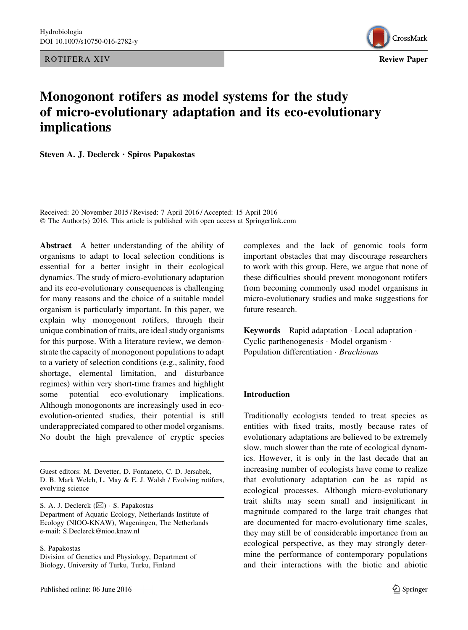

# Monogonont rotifers as model systems for the study of micro-evolutionary adaptation and its eco-evolutionary implications

Steven A. J. Declerck . Spiros Papakostas

Received: 20 November 2015 / Revised: 7 April 2016 / Accepted: 15 April 2016 © The Author(s) 2016. This article is published with open access at Springerlink.com

Abstract A better understanding of the ability of organisms to adapt to local selection conditions is essential for a better insight in their ecological dynamics. The study of micro-evolutionary adaptation and its eco-evolutionary consequences is challenging for many reasons and the choice of a suitable model organism is particularly important. In this paper, we explain why monogonont rotifers, through their unique combination of traits, are ideal study organisms for this purpose. With a literature review, we demonstrate the capacity of monogonont populations to adapt to a variety of selection conditions (e.g., salinity, food shortage, elemental limitation, and disturbance regimes) within very short-time frames and highlight some potential eco-evolutionary implications. Although monogononts are increasingly used in ecoevolution-oriented studies, their potential is still underappreciated compared to other model organisms. No doubt the high prevalence of cryptic species

S. A. J. Declerck (⊠) · S. Papakostas Department of Aquatic Ecology, Netherlands Institute of Ecology (NIOO-KNAW), Wageningen, The Netherlands e-mail: S.Declerck@nioo.knaw.nl

S. Papakostas

Division of Genetics and Physiology, Department of Biology, University of Turku, Turku, Finland

complexes and the lack of genomic tools form important obstacles that may discourage researchers to work with this group. Here, we argue that none of these difficulties should prevent monogonont rotifers from becoming commonly used model organisms in micro-evolutionary studies and make suggestions for future research.

Keywords Rapid adaptation - Local adaptation - Cyclic parthenogenesis - Model organism - Population differentiation · Brachionus

## Introduction

Traditionally ecologists tended to treat species as entities with fixed traits, mostly because rates of evolutionary adaptations are believed to be extremely slow, much slower than the rate of ecological dynamics. However, it is only in the last decade that an increasing number of ecologists have come to realize that evolutionary adaptation can be as rapid as ecological processes. Although micro-evolutionary trait shifts may seem small and insignificant in magnitude compared to the large trait changes that are documented for macro-evolutionary time scales, they may still be of considerable importance from an ecological perspective, as they may strongly determine the performance of contemporary populations and their interactions with the biotic and abiotic

Guest editors: M. Devetter, D. Fontaneto, C. D. Jersabek, D. B. Mark Welch, L. May & E. J. Walsh / Evolving rotifers, evolving science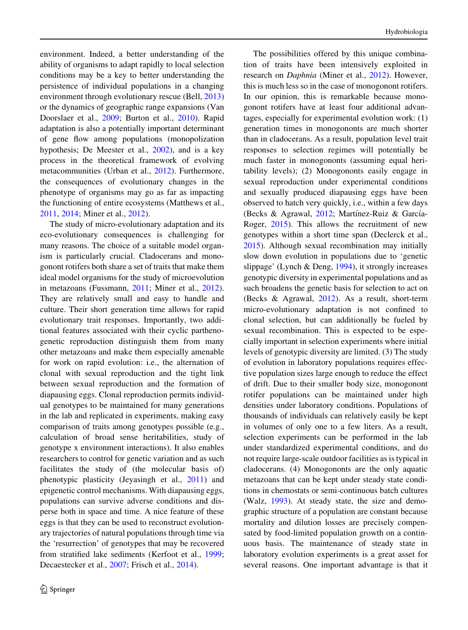environment. Indeed, a better understanding of the ability of organisms to adapt rapidly to local selection conditions may be a key to better understanding the persistence of individual populations in a changing environment through evolutionary rescue (Bell, [2013\)](#page-11-0) or the dynamics of geographic range expansions (Van Doorslaer et al., [2009](#page-13-0); Burton et al., [2010\)](#page-11-0). Rapid adaptation is also a potentially important determinant of gene flow among populations (monopolization hypothesis; De Meester et al., [2002](#page-11-0)), and is a key process in the theoretical framework of evolving metacommunities (Urban et al., [2012](#page-13-0)). Furthermore, the consequences of evolutionary changes in the phenotype of organisms may go as far as impacting the functioning of entire ecosystems (Matthews et al., [2011,](#page-12-0) [2014](#page-12-0); Miner et al., [2012\)](#page-12-0).

The study of micro-evolutionary adaptation and its eco-evolutionary consequences is challenging for many reasons. The choice of a suitable model organism is particularly crucial. Cladocerans and monogonont rotifers both share a set of traits that make them ideal model organisms for the study of microevolution in metazoans (Fussmann, [2011;](#page-12-0) Miner et al., [2012](#page-12-0)). They are relatively small and easy to handle and culture. Their short generation time allows for rapid evolutionary trait responses. Importantly, two additional features associated with their cyclic parthenogenetic reproduction distinguish them from many other metazoans and make them especially amenable for work on rapid evolution: i.e., the alternation of clonal with sexual reproduction and the tight link between sexual reproduction and the formation of diapausing eggs. Clonal reproduction permits individual genotypes to be maintained for many generations in the lab and replicated in experiments, making easy comparison of traits among genotypes possible (e.g., calculation of broad sense heritabilities, study of genotype x environment interactions). It also enables researchers to control for genetic variation and as such facilitates the study of (the molecular basis of) phenotypic plasticity (Jeyasingh et al., [2011\)](#page-12-0) and epigenetic control mechanisms. With diapausing eggs, populations can survive adverse conditions and disperse both in space and time. A nice feature of these eggs is that they can be used to reconstruct evolutionary trajectories of natural populations through time via the 'resurrection' of genotypes that may be recovered from stratified lake sediments (Kerfoot et al., [1999](#page-12-0); Decaestecker et al., [2007](#page-12-0); Frisch et al., [2014\)](#page-12-0).

The possibilities offered by this unique combination of traits have been intensively exploited in research on Daphnia (Miner et al., [2012\)](#page-12-0). However, this is much less so in the case of monogonont rotifers. In our opinion, this is remarkable because monogonont rotifers have at least four additional advantages, especially for experimental evolution work: (1) generation times in monogononts are much shorter than in cladocerans. As a result, population level trait responses to selection regimes will potentially be much faster in monogononts (assuming equal heritability levels); (2) Monogononts easily engage in sexual reproduction under experimental conditions and sexually produced diapausing eggs have been observed to hatch very quickly, i.e., within a few days (Becks & Agrawal, [2012](#page-11-0); Martínez-Ruiz & García-Roger, [2015\)](#page-12-0). This allows the recruitment of new genotypes within a short time span (Declerck et al., [2015\)](#page-12-0). Although sexual recombination may initially slow down evolution in populations due to 'genetic slippage' (Lynch & Deng, [1994](#page-12-0)), it strongly increases genotypic diversity in experimental populations and as such broadens the genetic basis for selection to act on (Becks & Agrawal, [2012](#page-11-0)). As a result, short-term micro-evolutionary adaptation is not confined to clonal selection, but can additionally be fueled by sexual recombination. This is expected to be especially important in selection experiments where initial levels of genotypic diversity are limited. (3) The study of evolution in laboratory populations requires effective population sizes large enough to reduce the effect of drift. Due to their smaller body size, monogonont rotifer populations can be maintained under high densities under laboratory conditions. Populations of thousands of individuals can relatively easily be kept in volumes of only one to a few liters. As a result, selection experiments can be performed in the lab under standardized experimental conditions, and do not require large-scale outdoor facilities as is typical in cladocerans. (4) Monogononts are the only aquatic metazoans that can be kept under steady state conditions in chemostats or semi-continuous batch cultures (Walz, [1993\)](#page-13-0). At steady state, the size and demographic structure of a population are constant because mortality and dilution losses are precisely compensated by food-limited population growth on a continuous basis. The maintenance of steady state in laboratory evolution experiments is a great asset for several reasons. One important advantage is that it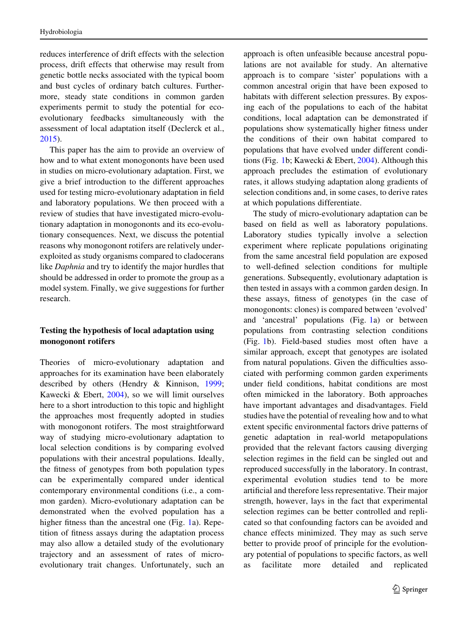reduces interference of drift effects with the selection process, drift effects that otherwise may result from genetic bottle necks associated with the typical boom and bust cycles of ordinary batch cultures. Furthermore, steady state conditions in common garden experiments permit to study the potential for ecoevolutionary feedbacks simultaneously with the assessment of local adaptation itself (Declerck et al., [2015\)](#page-12-0).

This paper has the aim to provide an overview of how and to what extent monogononts have been used in studies on micro-evolutionary adaptation. First, we give a brief introduction to the different approaches used for testing micro-evolutionary adaptation in field and laboratory populations. We then proceed with a review of studies that have investigated micro-evolutionary adaptation in monogononts and its eco-evolutionary consequences. Next, we discuss the potential reasons why monogonont rotifers are relatively underexploited as study organisms compared to cladocerans like *Daphnia* and try to identify the major hurdles that should be addressed in order to promote the group as a model system. Finally, we give suggestions for further research.

## Testing the hypothesis of local adaptation using monogonont rotifers

Theories of micro-evolutionary adaptation and approaches for its examination have been elaborately described by others (Hendry & Kinnison, [1999](#page-12-0); Kawecki & Ebert,  $2004$ ), so we will limit ourselves here to a short introduction to this topic and highlight the approaches most frequently adopted in studies with monogonont rotifers. The most straightforward way of studying micro-evolutionary adaptation to local selection conditions is by comparing evolved populations with their ancestral populations. Ideally, the fitness of genotypes from both population types can be experimentally compared under identical contemporary environmental conditions (i.e., a common garden). Micro-evolutionary adaptation can be demonstrated when the evolved population has a higher fitness than the ancestral one (Fig. [1a](#page-3-0)). Repetition of fitness assays during the adaptation process may also allow a detailed study of the evolutionary trajectory and an assessment of rates of microevolutionary trait changes. Unfortunately, such an

approach is often unfeasible because ancestral populations are not available for study. An alternative approach is to compare 'sister' populations with a common ancestral origin that have been exposed to habitats with different selection pressures. By exposing each of the populations to each of the habitat conditions, local adaptation can be demonstrated if populations show systematically higher fitness under the conditions of their own habitat compared to populations that have evolved under different conditions (Fig. [1b](#page-3-0); Kawecki & Ebert, [2004\)](#page-12-0). Although this approach precludes the estimation of evolutionary rates, it allows studying adaptation along gradients of selection conditions and, in some cases, to derive rates at which populations differentiate.

The study of micro-evolutionary adaptation can be based on field as well as laboratory populations. Laboratory studies typically involve a selection experiment where replicate populations originating from the same ancestral field population are exposed to well-defined selection conditions for multiple generations. Subsequently, evolutionary adaptation is then tested in assays with a common garden design. In these assays, fitness of genotypes (in the case of monogononts: clones) is compared between 'evolved' and 'ancestral' populations (Fig. [1a](#page-3-0)) or between populations from contrasting selection conditions (Fig. [1](#page-3-0)b). Field-based studies most often have a similar approach, except that genotypes are isolated from natural populations. Given the difficulties associated with performing common garden experiments under field conditions, habitat conditions are most often mimicked in the laboratory. Both approaches have important advantages and disadvantages. Field studies have the potential of revealing how and to what extent specific environmental factors drive patterns of genetic adaptation in real-world metapopulations provided that the relevant factors causing diverging selection regimes in the field can be singled out and reproduced successfully in the laboratory. In contrast, experimental evolution studies tend to be more artificial and therefore less representative. Their major strength, however, lays in the fact that experimental selection regimes can be better controlled and replicated so that confounding factors can be avoided and chance effects minimized. They may as such serve better to provide proof of principle for the evolutionary potential of populations to specific factors, as well as facilitate more detailed and replicated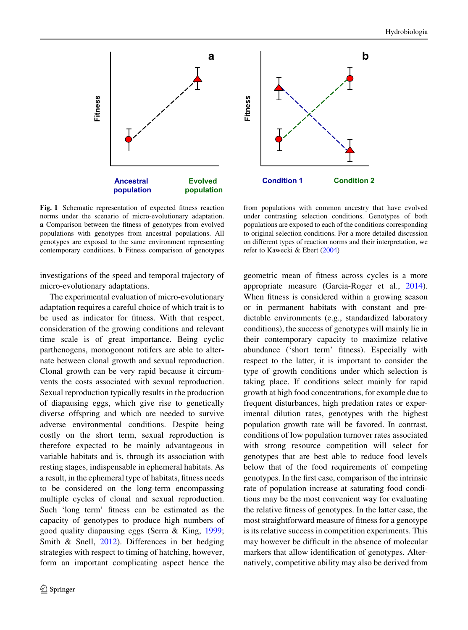<span id="page-3-0"></span>



Fig. 1 Schematic representation of expected fitness reaction norms under the scenario of micro-evolutionary adaptation. a Comparison between the fitness of genotypes from evolved populations with genotypes from ancestral populations. All genotypes are exposed to the same environment representing contemporary conditions. b Fitness comparison of genotypes

investigations of the speed and temporal trajectory of micro-evolutionary adaptations.

The experimental evaluation of micro-evolutionary adaptation requires a careful choice of which trait is to be used as indicator for fitness. With that respect, consideration of the growing conditions and relevant time scale is of great importance. Being cyclic parthenogens, monogonont rotifers are able to alternate between clonal growth and sexual reproduction. Clonal growth can be very rapid because it circumvents the costs associated with sexual reproduction. Sexual reproduction typically results in the production of diapausing eggs, which give rise to genetically diverse offspring and which are needed to survive adverse environmental conditions. Despite being costly on the short term, sexual reproduction is therefore expected to be mainly advantageous in variable habitats and is, through its association with resting stages, indispensable in ephemeral habitats. As a result, in the ephemeral type of habitats, fitness needs to be considered on the long-term encompassing multiple cycles of clonal and sexual reproduction. Such 'long term' fitness can be estimated as the capacity of genotypes to produce high numbers of good quality diapausing eggs (Serra & King, [1999](#page-13-0); Smith & Snell, [2012\)](#page-13-0). Differences in bet hedging strategies with respect to timing of hatching, however, form an important complicating aspect hence the

from populations with common ancestry that have evolved under contrasting selection conditions. Genotypes of both populations are exposed to each of the conditions corresponding to original selection conditions. For a more detailed discussion on different types of reaction norms and their interpretation, we refer to Kawecki & Ebert [\(2004](#page-12-0))

geometric mean of fitness across cycles is a more appropriate measure (Garcia-Roger et al., [2014](#page-12-0)). When fitness is considered within a growing season or in permanent habitats with constant and predictable environments (e.g., standardized laboratory conditions), the success of genotypes will mainly lie in their contemporary capacity to maximize relative abundance ('short term' fitness). Especially with respect to the latter, it is important to consider the type of growth conditions under which selection is taking place. If conditions select mainly for rapid growth at high food concentrations, for example due to frequent disturbances, high predation rates or experimental dilution rates, genotypes with the highest population growth rate will be favored. In contrast, conditions of low population turnover rates associated with strong resource competition will select for genotypes that are best able to reduce food levels below that of the food requirements of competing genotypes. In the first case, comparison of the intrinsic rate of population increase at saturating food conditions may be the most convenient way for evaluating the relative fitness of genotypes. In the latter case, the most straightforward measure of fitness for a genotype is its relative success in competition experiments. This may however be difficult in the absence of molecular markers that allow identification of genotypes. Alternatively, competitive ability may also be derived from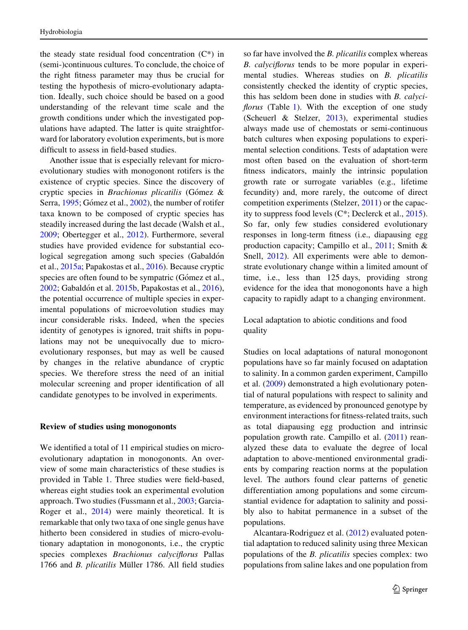the steady state residual food concentration  $(C^*)$  in (semi-)continuous cultures. To conclude, the choice of the right fitness parameter may thus be crucial for testing the hypothesis of micro-evolutionary adaptation. Ideally, such choice should be based on a good understanding of the relevant time scale and the growth conditions under which the investigated populations have adapted. The latter is quite straightforward for laboratory evolution experiments, but is more difficult to assess in field-based studies.

Another issue that is especially relevant for microevolutionary studies with monogonont rotifers is the existence of cryptic species. Since the discovery of cryptic species in Brachionus plicatilis (Gómez & Serra, [1995](#page-12-0); Gómez et al., [2002\)](#page-12-0), the number of rotifer taxa known to be composed of cryptic species has steadily increased during the last decade (Walsh et al., [2009;](#page-13-0) Obertegger et al., [2012](#page-12-0)). Furthermore, several studies have provided evidence for substantial ecological segregation among such species (Gabaldón et al., [2015a](#page-12-0); Papakostas et al., [2016\)](#page-12-0). Because cryptic species are often found to be sympatric (Gómez et al., [2002;](#page-12-0) Gabaldón et al. [2015b](#page-12-0), Papakostas et al., [2016](#page-12-0)), the potential occurrence of multiple species in experimental populations of microevolution studies may incur considerable risks. Indeed, when the species identity of genotypes is ignored, trait shifts in populations may not be unequivocally due to microevolutionary responses, but may as well be caused by changes in the relative abundance of cryptic species. We therefore stress the need of an initial molecular screening and proper identification of all candidate genotypes to be involved in experiments.

### Review of studies using monogononts

We identified a total of 11 empirical studies on microevolutionary adaptation in monogononts. An overview of some main characteristics of these studies is provided in Table [1](#page-5-0). Three studies were field-based, whereas eight studies took an experimental evolution approach. Two studies (Fussmann et al., [2003](#page-12-0); Garcia-Roger et al., [2014\)](#page-12-0) were mainly theoretical. It is remarkable that only two taxa of one single genus have hitherto been considered in studies of micro-evolutionary adaptation in monogononts, i.e., the cryptic species complexes Brachionus calyciflorus Pallas 1766 and *B. plicatilis* Müller 1786. All field studies

so far have involved the B. plicatilis complex whereas B. calyciflorus tends to be more popular in experimental studies. Whereas studies on B. plicatilis consistently checked the identity of cryptic species, this has seldom been done in studies with B. calyci-florus (Table [1](#page-5-0)). With the exception of one study (Scheuerl & Stelzer, [2013](#page-12-0)), experimental studies always made use of chemostats or semi-continuous batch cultures when exposing populations to experimental selection conditions. Tests of adaptation were most often based on the evaluation of short-term fitness indicators, mainly the intrinsic population growth rate or surrogate variables (e.g., lifetime fecundity) and, more rarely, the outcome of direct competition experiments (Stelzer, [2011\)](#page-13-0) or the capacity to suppress food levels (C\*; Declerck et al., [2015](#page-12-0)). So far, only few studies considered evolutionary responses in long-term fitness (i.e., diapausing egg production capacity; Campillo et al., [2011;](#page-11-0) Smith & Snell, [2012](#page-13-0)). All experiments were able to demonstrate evolutionary change within a limited amount of time, i.e., less than 125 days, providing strong evidence for the idea that monogononts have a high capacity to rapidly adapt to a changing environment.

Local adaptation to abiotic conditions and food quality

Studies on local adaptations of natural monogonont populations have so far mainly focused on adaptation to salinity. In a common garden experiment, Campillo et al. ([2009\)](#page-11-0) demonstrated a high evolutionary potential of natural populations with respect to salinity and temperature, as evidenced by pronounced genotype by environment interactions for fitness-related traits, such as total diapausing egg production and intrinsic population growth rate. Campillo et al. ([2011\)](#page-11-0) reanalyzed these data to evaluate the degree of local adaptation to above-mentioned environmental gradients by comparing reaction norms at the population level. The authors found clear patterns of genetic differentiation among populations and some circumstantial evidence for adaptation to salinity and possibly also to habitat permanence in a subset of the populations.

Alcantara-Rodriguez et al. [\(2012\)](#page-11-0) evaluated potential adaptation to reduced salinity using three Mexican populations of the B. plicatilis species complex: two populations from saline lakes and one population from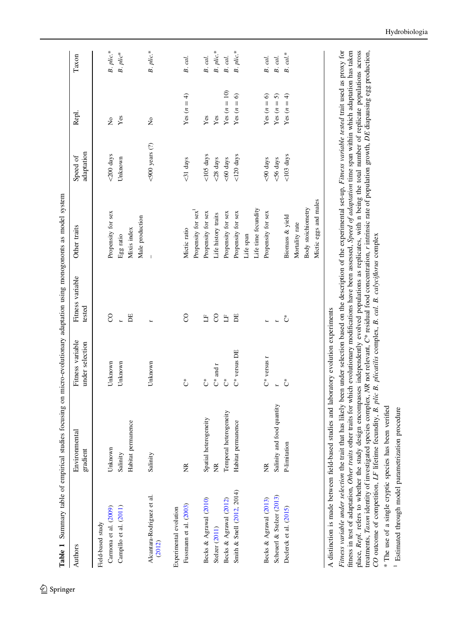<span id="page-5-0"></span>

| Authors                              | Environmental<br>gradient     | Fitness variable<br>under selection | Fitness variable<br>tested | Other traits                    | adaptation<br>Speed of | Repl.                   | Taxon                   |
|--------------------------------------|-------------------------------|-------------------------------------|----------------------------|---------------------------------|------------------------|-------------------------|-------------------------|
| Field-based study                    |                               |                                     |                            |                                 |                        |                         |                         |
| Carmona et al. (2009)                | Unknown                       | Unknown                             | 8                          | Propensity for sex              | $200$ days             | $\frac{1}{2}$           | B. plic.*               |
| Campillo et al. (2011)               | Salinity                      | Unknown                             | r.                         | Egg ratio                       | Unknown                | Yes                     | B. plic*                |
|                                      | Habitat permanence            |                                     | 呂                          | Mixis index                     |                        |                         |                         |
|                                      |                               |                                     |                            | Male production                 |                        |                         |                         |
| Alcantara-Rodriguez et al.<br>(2012) | Salinity                      | Unknown                             | Ľ                          |                                 | $<$ 900 years $(?)$    | $\overline{\mathsf{x}}$ | B. plic.*               |
| Experimental evolution               |                               |                                     |                            |                                 |                        |                         |                         |
| Fussmann et al. (2003)               | g                             | ڽ                                   | 8                          | Mictic ratio                    | <31 days               | Yes $(n = 4)$           | B. cal.                 |
|                                      |                               |                                     |                            | Propensity for sex <sup>1</sup> |                        |                         |                         |
| Becks & Agrawal (2010)               | Spatial heterogeneity         | ڽ                                   | Ë                          | Propensity for sex              | $<$ 105 days           | Yes                     | B. cal.                 |
| Stelzer (2011)                       | ž                             | $\mathrm{C}^*$ and $\mathrm{r}$     | 8                          | Life history traits             | $<$ 28 days            | Yes                     | B. plic.*               |
| Becks & Agrawal (2012)               | Temporal heterogeneity        | ڽ                                   | Ë                          | Propensity for sex              | <60 days               | Yes $(n = 10)$          | B. cal.                 |
| Smith & Snell (2012, 2014)           | Habitat permanence            | C* versus DE                        | 呂                          | Propensity for sex              | $<$ 120 days           | Yes $(n = 6)$           | B. plic.*               |
|                                      |                               |                                     |                            | Life span                       |                        |                         |                         |
|                                      |                               |                                     |                            | Life time fecundity             |                        |                         |                         |
| Becks & Agrawal (2013)               | ž                             | $C^*$ versus $r$                    |                            | Propensity for sex              | <90 days               | Yes $(n = 6)$           | B. cal.                 |
| Scheuerl & Stelzer (2013)            | quantity<br>Salinity and food | ŗ,                                  | ŗ,                         |                                 | <56 days               | Yes $(n = 5)$           | B. cal.                 |
| Declerck et al. (2015)               | P-limitation                  | $\overset{*}{\circ}$                | $\rm\stackrel{*}{\circ}$   | Biomass & yield                 | $<$ 103 days           | Yes $(n = 4)$           | $B.$ $cal$ <sup>*</sup> |
|                                      |                               |                                     |                            | Mortality rate                  |                        |                         |                         |
|                                      |                               |                                     |                            | Body stoichiometry              |                        |                         |                         |
|                                      |                               |                                     |                            | Mictic eggs and males           |                        |                         |                         |

place, *Repl.* refers to whether the study design encompasses independently evolved populations as replicates, with n being the total number of replicate populations across treatments, Taxon identity of investigated specie fitness in test of adaptation, Other tratis other traits for which evolutionary modifications have been assessed, Speed of adaptation time span within which adaptation has taken fitness in test of adaptation, Other traits other traits for which evolutionary modifications have been assessed, Speed of adaptation time span within which adaptation has taken place, Repl. refers to whether the study design encompasses independently evolved populations as replicates, with n being the total number of replicate populations across treatments, Taxon identity of investigated species complex, NR not relevant, C\* residual food concentration, r intrinsic rate of population growth, DE diapausing egg production, CO outcome of competition, LF lifetime fecundity, B. plic B. plicatilis complex, B. cal. B. calyciflorus complex

\* The use of a single cryptic species has been verified \* The use of a single cryptic species has been verified

<sup>1</sup> Estimated through model parametrization procedure Estimated through model parametrization procedure

<sup>2</sup> Springer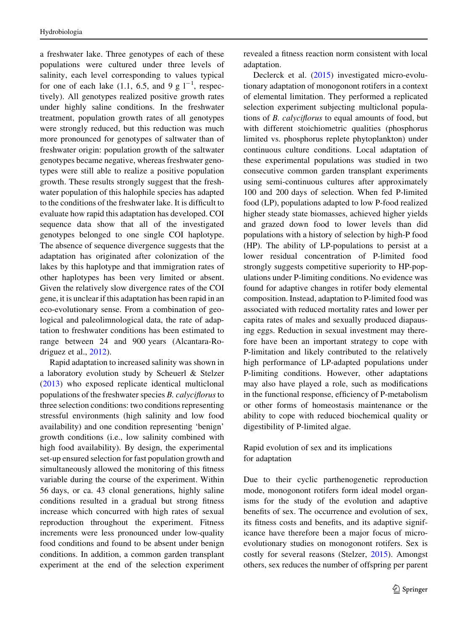a freshwater lake. Three genotypes of each of these populations were cultured under three levels of salinity, each level corresponding to values typical for one of each lake  $(1.1, 6.5, \text{ and } 9 \text{ g } 1^{-1}, \text{ respec-}$ tively). All genotypes realized positive growth rates under highly saline conditions. In the freshwater treatment, population growth rates of all genotypes were strongly reduced, but this reduction was much more pronounced for genotypes of saltwater than of freshwater origin: population growth of the saltwater genotypes became negative, whereas freshwater genotypes were still able to realize a positive population growth. These results strongly suggest that the freshwater population of this halophile species has adapted to the conditions of the freshwater lake. It is difficult to evaluate how rapid this adaptation has developed. COI sequence data show that all of the investigated genotypes belonged to one single COI haplotype. The absence of sequence divergence suggests that the adaptation has originated after colonization of the lakes by this haplotype and that immigration rates of other haplotypes has been very limited or absent. Given the relatively slow divergence rates of the COI gene, it is unclear if this adaptation has been rapid in an eco-evolutionary sense. From a combination of geological and paleolimnological data, the rate of adaptation to freshwater conditions has been estimated to range between 24 and 900 years (Alcantara-Rodriguez et al., [2012\)](#page-11-0).

Rapid adaptation to increased salinity was shown in a laboratory evolution study by Scheuerl & Stelzer [\(2013](#page-12-0)) who exposed replicate identical multiclonal populations of the freshwater species B. calyciflorus to three selection conditions: two conditions representing stressful environments (high salinity and low food availability) and one condition representing 'benign' growth conditions (i.e., low salinity combined with high food availability). By design, the experimental set-up ensured selection for fast population growth and simultaneously allowed the monitoring of this fitness variable during the course of the experiment. Within 56 days, or ca. 43 clonal generations, highly saline conditions resulted in a gradual but strong fitness increase which concurred with high rates of sexual reproduction throughout the experiment. Fitness increments were less pronounced under low-quality food conditions and found to be absent under benign conditions. In addition, a common garden transplant experiment at the end of the selection experiment revealed a fitness reaction norm consistent with local adaptation.

Declerck et al. ([2015\)](#page-12-0) investigated micro-evolutionary adaptation of monogonont rotifers in a context of elemental limitation. They performed a replicated selection experiment subjecting multiclonal populations of B. calyciflorus to equal amounts of food, but with different stoichiometric qualities (phosphorus limited vs. phosphorus replete phytoplankton) under continuous culture conditions. Local adaptation of these experimental populations was studied in two consecutive common garden transplant experiments using semi-continuous cultures after approximately 100 and 200 days of selection. When fed P-limited food (LP), populations adapted to low P-food realized higher steady state biomasses, achieved higher yields and grazed down food to lower levels than did populations with a history of selection by high-P food (HP). The ability of LP-populations to persist at a lower residual concentration of P-limited food strongly suggests competitive superiority to HP-populations under P-limiting conditions. No evidence was found for adaptive changes in rotifer body elemental composition. Instead, adaptation to P-limited food was associated with reduced mortality rates and lower per capita rates of males and sexually produced diapausing eggs. Reduction in sexual investment may therefore have been an important strategy to cope with P-limitation and likely contributed to the relatively high performance of LP-adapted populations under P-limiting conditions. However, other adaptations may also have played a role, such as modifications in the functional response, efficiency of P-metabolism or other forms of homeostasis maintenance or the ability to cope with reduced biochemical quality or digestibility of P-limited algae.

# Rapid evolution of sex and its implications for adaptation

Due to their cyclic parthenogenetic reproduction mode, monogonont rotifers form ideal model organisms for the study of the evolution and adaptive benefits of sex. The occurrence and evolution of sex, its fitness costs and benefits, and its adaptive significance have therefore been a major focus of microevolutionary studies on monogonont rotifers. Sex is costly for several reasons (Stelzer, [2015\)](#page-13-0). Amongst others, sex reduces the number of offspring per parent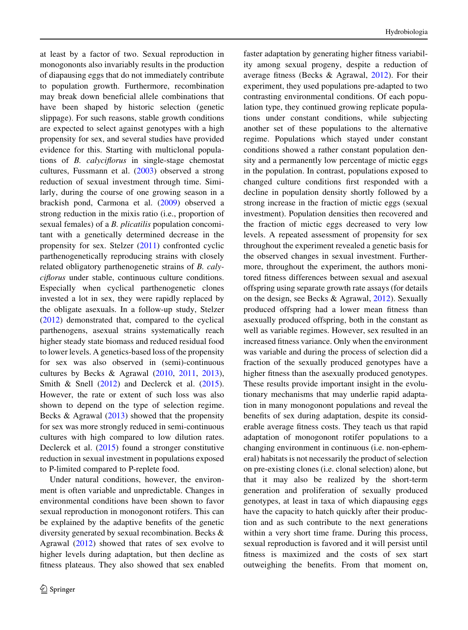at least by a factor of two. Sexual reproduction in monogononts also invariably results in the production of diapausing eggs that do not immediately contribute to population growth. Furthermore, recombination may break down beneficial allele combinations that have been shaped by historic selection (genetic slippage). For such reasons, stable growth conditions are expected to select against genotypes with a high propensity for sex, and several studies have provided evidence for this. Starting with multiclonal populations of B. calyciflorus in single-stage chemostat cultures, Fussmann et al. ([2003\)](#page-12-0) observed a strong reduction of sexual investment through time. Similarly, during the course of one growing season in a brackish pond, Carmona et al. [\(2009](#page-11-0)) observed a strong reduction in the mixis ratio (i.e., proportion of sexual females) of a *B. plicatilis* population concomitant with a genetically determined decrease in the propensity for sex. Stelzer ([2011\)](#page-13-0) confronted cyclic parthenogenetically reproducing strains with closely related obligatory parthenogenetic strains of B. calyciflorus under stable, continuous culture conditions. Especially when cyclical parthenogenetic clones invested a lot in sex, they were rapidly replaced by the obligate asexuals. In a follow-up study, Stelzer [\(2012](#page-13-0)) demonstrated that, compared to the cyclical parthenogens, asexual strains systematically reach higher steady state biomass and reduced residual food to lower levels. A genetics-based loss of the propensity for sex was also observed in (semi)-continuous cultures by Becks & Agrawal [\(2010,](#page-11-0) [2011](#page-11-0), [2013](#page-11-0)), Smith & Snell [\(2012](#page-13-0)) and Declerck et al. [\(2015](#page-12-0)). However, the rate or extent of such loss was also shown to depend on the type of selection regime. Becks & Agrawal  $(2013)$  $(2013)$  showed that the propensity for sex was more strongly reduced in semi-continuous cultures with high compared to low dilution rates. Declerck et al. [\(2015](#page-12-0)) found a stronger constitutive reduction in sexual investment in populations exposed to P-limited compared to P-replete food.

Under natural conditions, however, the environment is often variable and unpredictable. Changes in environmental conditions have been shown to favor sexual reproduction in monogonont rotifers. This can be explained by the adaptive benefits of the genetic diversity generated by sexual recombination. Becks & Agrawal ([2012\)](#page-11-0) showed that rates of sex evolve to higher levels during adaptation, but then decline as fitness plateaus. They also showed that sex enabled faster adaptation by generating higher fitness variability among sexual progeny, despite a reduction of average fitness (Becks & Agrawal, [2012](#page-11-0)). For their experiment, they used populations pre-adapted to two contrasting environmental conditions. Of each population type, they continued growing replicate populations under constant conditions, while subjecting another set of these populations to the alternative regime. Populations which stayed under constant conditions showed a rather constant population density and a permanently low percentage of mictic eggs in the population. In contrast, populations exposed to changed culture conditions first responded with a decline in population density shortly followed by a strong increase in the fraction of mictic eggs (sexual investment). Population densities then recovered and the fraction of mictic eggs decreased to very low levels. A repeated assessment of propensity for sex throughout the experiment revealed a genetic basis for the observed changes in sexual investment. Furthermore, throughout the experiment, the authors monitored fitness differences between sexual and asexual offspring using separate growth rate assays (for details on the design, see Becks & Agrawal, [2012\)](#page-11-0). Sexually produced offspring had a lower mean fitness than asexually produced offspring, both in the constant as well as variable regimes. However, sex resulted in an increased fitness variance. Only when the environment was variable and during the process of selection did a fraction of the sexually produced genotypes have a higher fitness than the asexually produced genotypes. These results provide important insight in the evolutionary mechanisms that may underlie rapid adaptation in many monogonont populations and reveal the benefits of sex during adaptation, despite its considerable average fitness costs. They teach us that rapid adaptation of monogonont rotifer populations to a changing environment in continuous (i.e. non-ephemeral) habitats is not necessarily the product of selection on pre-existing clones (i.e. clonal selection) alone, but that it may also be realized by the short-term generation and proliferation of sexually produced genotypes, at least in taxa of which diapausing eggs have the capacity to hatch quickly after their production and as such contribute to the next generations within a very short time frame. During this process, sexual reproduction is favored and it will persist until fitness is maximized and the costs of sex start outweighing the benefits. From that moment on,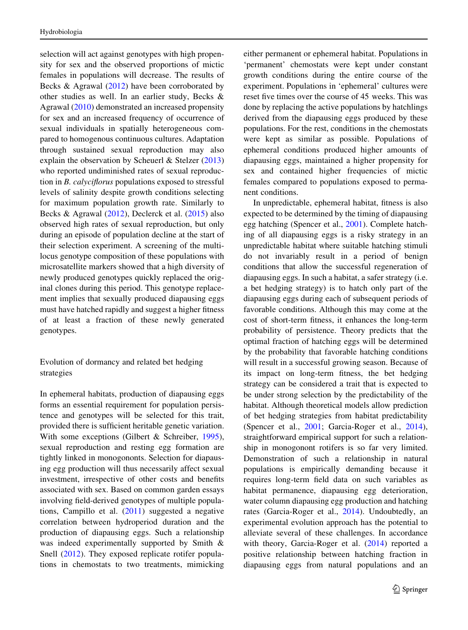selection will act against genotypes with high propensity for sex and the observed proportions of mictic females in populations will decrease. The results of Becks & Agrawal  $(2012)$  $(2012)$  have been corroborated by other studies as well. In an earlier study, Becks & Agrawal ([2010\)](#page-11-0) demonstrated an increased propensity for sex and an increased frequency of occurrence of sexual individuals in spatially heterogeneous compared to homogenous continuous cultures. Adaptation through sustained sexual reproduction may also explain the observation by Scheuerl & Stelzer ([2013\)](#page-12-0) who reported undiminished rates of sexual reproduction in B. calyciflorus populations exposed to stressful levels of salinity despite growth conditions selecting for maximum population growth rate. Similarly to Becks & Agrawal ([2012\)](#page-11-0), Declerck et al. ([2015\)](#page-12-0) also observed high rates of sexual reproduction, but only during an episode of population decline at the start of their selection experiment. A screening of the multilocus genotype composition of these populations with microsatellite markers showed that a high diversity of newly produced genotypes quickly replaced the original clones during this period. This genotype replacement implies that sexually produced diapausing eggs must have hatched rapidly and suggest a higher fitness of at least a fraction of these newly generated genotypes.

Evolution of dormancy and related bet hedging strategies

In ephemeral habitats, production of diapausing eggs forms an essential requirement for population persistence and genotypes will be selected for this trait, provided there is sufficient heritable genetic variation. With some exceptions (Gilbert & Schreiber, [1995](#page-12-0)), sexual reproduction and resting egg formation are tightly linked in monogononts. Selection for diapausing egg production will thus necessarily affect sexual investment, irrespective of other costs and benefits associated with sex. Based on common garden essays involving field-derived genotypes of multiple populations, Campillo et al. [\(2011](#page-11-0)) suggested a negative correlation between hydroperiod duration and the production of diapausing eggs. Such a relationship was indeed experimentally supported by Smith & Snell [\(2012](#page-13-0)). They exposed replicate rotifer populations in chemostats to two treatments, mimicking either permanent or ephemeral habitat. Populations in 'permanent' chemostats were kept under constant growth conditions during the entire course of the experiment. Populations in 'ephemeral' cultures were reset five times over the course of 45 weeks. This was done by replacing the active populations by hatchlings derived from the diapausing eggs produced by these populations. For the rest, conditions in the chemostats were kept as similar as possible. Populations of ephemeral conditions produced higher amounts of diapausing eggs, maintained a higher propensity for sex and contained higher frequencies of mictic females compared to populations exposed to permanent conditions.

In unpredictable, ephemeral habitat, fitness is also expected to be determined by the timing of diapausing egg hatching (Spencer et al., [2001](#page-13-0)). Complete hatching of all diapausing eggs is a risky strategy in an unpredictable habitat where suitable hatching stimuli do not invariably result in a period of benign conditions that allow the successful regeneration of diapausing eggs. In such a habitat, a safer strategy (i.e. a bet hedging strategy) is to hatch only part of the diapausing eggs during each of subsequent periods of favorable conditions. Although this may come at the cost of short-term fitness, it enhances the long-term probability of persistence. Theory predicts that the optimal fraction of hatching eggs will be determined by the probability that favorable hatching conditions will result in a successful growing season. Because of its impact on long-term fitness, the bet hedging strategy can be considered a trait that is expected to be under strong selection by the predictability of the habitat. Although theoretical models allow prediction of bet hedging strategies from habitat predictability (Spencer et al., [2001](#page-13-0); Garcia-Roger et al., [2014](#page-12-0)), straightforward empirical support for such a relationship in monogonont rotifers is so far very limited. Demonstration of such a relationship in natural populations is empirically demanding because it requires long-term field data on such variables as habitat permanence, diapausing egg deterioration, water column diapausing egg production and hatching rates (Garcia-Roger et al., [2014\)](#page-12-0). Undoubtedly, an experimental evolution approach has the potential to alleviate several of these challenges. In accordance with theory, Garcia-Roger et al. ([2014\)](#page-12-0) reported a positive relationship between hatching fraction in diapausing eggs from natural populations and an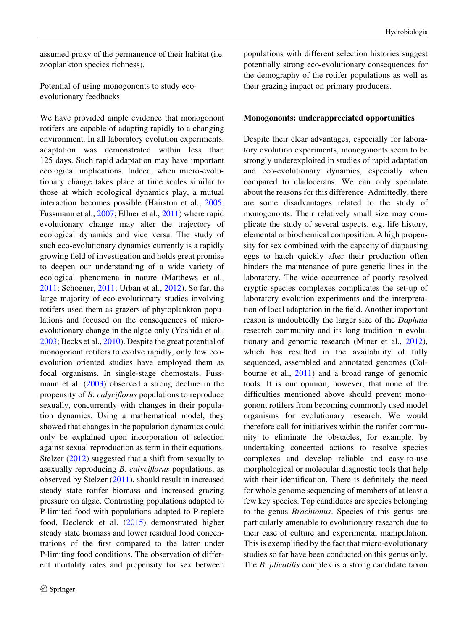assumed proxy of the permanence of their habitat (i.e. zooplankton species richness).

Potential of using monogononts to study ecoevolutionary feedbacks

We have provided ample evidence that monogonont rotifers are capable of adapting rapidly to a changing environment. In all laboratory evolution experiments, adaptation was demonstrated within less than 125 days. Such rapid adaptation may have important ecological implications. Indeed, when micro-evolutionary change takes place at time scales similar to those at which ecological dynamics play, a mutual interaction becomes possible (Hairston et al., [2005](#page-12-0); Fussmann et al., [2007;](#page-12-0) Ellner et al., [2011](#page-12-0)) where rapid evolutionary change may alter the trajectory of ecological dynamics and vice versa. The study of such eco-evolutionary dynamics currently is a rapidly growing field of investigation and holds great promise to deepen our understanding of a wide variety of ecological phenomena in nature (Matthews et al., [2011;](#page-12-0) Schoener, [2011](#page-13-0); Urban et al., [2012](#page-13-0)). So far, the large majority of eco-evolutionary studies involving rotifers used them as grazers of phytoplankton populations and focused on the consequences of microevolutionary change in the algae only (Yoshida et al., [2003;](#page-13-0) Becks et al., [2010\)](#page-11-0). Despite the great potential of monogonont rotifers to evolve rapidly, only few ecoevolution oriented studies have employed them as focal organisms. In single-stage chemostats, Fussmann et al. [\(2003\)](#page-12-0) observed a strong decline in the propensity of B. calyciflorus populations to reproduce sexually, concurrently with changes in their population dynamics. Using a mathematical model, they showed that changes in the population dynamics could only be explained upon incorporation of selection against sexual reproduction as term in their equations. Stelzer ([2012\)](#page-13-0) suggested that a shift from sexually to asexually reproducing B. calyciflorus populations, as observed by Stelzer ([2011\)](#page-13-0), should result in increased steady state rotifer biomass and increased grazing pressure on algae. Contrasting populations adapted to P-limited food with populations adapted to P-replete food, Declerck et al. ([2015\)](#page-12-0) demonstrated higher steady state biomass and lower residual food concentrations of the first compared to the latter under P-limiting food conditions. The observation of different mortality rates and propensity for sex between

populations with different selection histories suggest potentially strong eco-evolutionary consequences for the demography of the rotifer populations as well as their grazing impact on primary producers.

## Monogononts: underappreciated opportunities

Despite their clear advantages, especially for laboratory evolution experiments, monogononts seem to be strongly underexploited in studies of rapid adaptation and eco-evolutionary dynamics, especially when compared to cladocerans. We can only speculate about the reasons for this difference. Admittedly, there are some disadvantages related to the study of monogononts. Their relatively small size may complicate the study of several aspects, e.g. life history, elemental or biochemical composition. A high propensity for sex combined with the capacity of diapausing eggs to hatch quickly after their production often hinders the maintenance of pure genetic lines in the laboratory. The wide occurrence of poorly resolved cryptic species complexes complicates the set-up of laboratory evolution experiments and the interpretation of local adaptation in the field. Another important reason is undoubtedly the larger size of the Daphnia research community and its long tradition in evolutionary and genomic research (Miner et al., [2012](#page-12-0)), which has resulted in the availability of fully sequenced, assembled and annotated genomes (Colbourne et al., [2011\)](#page-11-0) and a broad range of genomic tools. It is our opinion, however, that none of the difficulties mentioned above should prevent monogonont rotifers from becoming commonly used model organisms for evolutionary research. We would therefore call for initiatives within the rotifer community to eliminate the obstacles, for example, by undertaking concerted actions to resolve species complexes and develop reliable and easy-to-use morphological or molecular diagnostic tools that help with their identification. There is definitely the need for whole genome sequencing of members of at least a few key species. Top candidates are species belonging to the genus Brachionus. Species of this genus are particularly amenable to evolutionary research due to their ease of culture and experimental manipulation. This is exemplified by the fact that micro-evolutionary studies so far have been conducted on this genus only. The B. plicatilis complex is a strong candidate taxon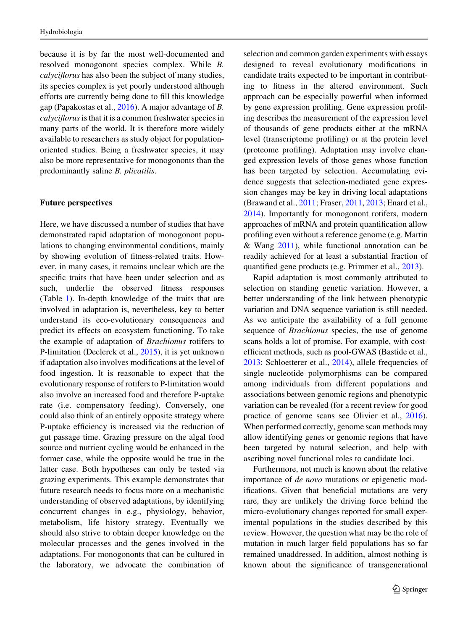because it is by far the most well-documented and resolved monogonont species complex. While B. calyciflorus has also been the subject of many studies, its species complex is yet poorly understood although efforts are currently being done to fill this knowledge gap (Papakostas et al., [2016](#page-12-0)). A major advantage of B. calyciflorus is that it is a common freshwater species in many parts of the world. It is therefore more widely available to researchers as study object for populationoriented studies. Being a freshwater species, it may also be more representative for monogononts than the predominantly saline B. plicatilis.

#### Future perspectives

Here, we have discussed a number of studies that have demonstrated rapid adaptation of monogonont populations to changing environmental conditions, mainly by showing evolution of fitness-related traits. However, in many cases, it remains unclear which are the specific traits that have been under selection and as such, underlie the observed fitness responses (Table [1](#page-5-0)). In-depth knowledge of the traits that are involved in adaptation is, nevertheless, key to better understand its eco-evolutionary consequences and predict its effects on ecosystem functioning. To take the example of adaptation of Brachionus rotifers to P-limitation (Declerck et al., [2015](#page-12-0)), it is yet unknown if adaptation also involves modifications at the level of food ingestion. It is reasonable to expect that the evolutionary response of rotifers to P-limitation would also involve an increased food and therefore P-uptake rate (i.e. compensatory feeding). Conversely, one could also think of an entirely opposite strategy where P-uptake efficiency is increased via the reduction of gut passage time. Grazing pressure on the algal food source and nutrient cycling would be enhanced in the former case, while the opposite would be true in the latter case. Both hypotheses can only be tested via grazing experiments. This example demonstrates that future research needs to focus more on a mechanistic understanding of observed adaptations, by identifying concurrent changes in e.g., physiology, behavior, metabolism, life history strategy. Eventually we should also strive to obtain deeper knowledge on the molecular processes and the genes involved in the adaptations. For monogononts that can be cultured in the laboratory, we advocate the combination of selection and common garden experiments with essays designed to reveal evolutionary modifications in candidate traits expected to be important in contributing to fitness in the altered environment. Such approach can be especially powerful when informed by gene expression profiling. Gene expression profiling describes the measurement of the expression level of thousands of gene products either at the mRNA level (transcriptome profiling) or at the protein level (proteome profiling). Adaptation may involve changed expression levels of those genes whose function has been targeted by selection. Accumulating evidence suggests that selection-mediated gene expression changes may be key in driving local adaptations (Brawand et al., [2011;](#page-11-0) Fraser, [2011,](#page-12-0) [2013](#page-12-0); Enard et al., [2014\)](#page-12-0). Importantly for monogonont rotifers, modern approaches of mRNA and protein quantification allow profiling even without a reference genome (e.g. Martin  $& Wang 2011$ , while functional annotation can be readily achieved for at least a substantial fraction of quantified gene products (e.g. Primmer et al., [2013](#page-12-0)).

Rapid adaptation is most commonly attributed to selection on standing genetic variation. However, a better understanding of the link between phenotypic variation and DNA sequence variation is still needed. As we anticipate the availability of a full genome sequence of *Brachionus* species, the use of genome scans holds a lot of promise. For example, with costefficient methods, such as pool-GWAS (Bastide et al., [2013:](#page-11-0) Schloetterer et al., [2014\)](#page-13-0), allele frequencies of single nucleotide polymorphisms can be compared among individuals from different populations and associations between genomic regions and phenotypic variation can be revealed (for a recent review for good practice of genome scans see Olivier et al., [2016](#page-12-0)). When performed correctly, genome scan methods may allow identifying genes or genomic regions that have been targeted by natural selection, and help with ascribing novel functional roles to candidate loci.

Furthermore, not much is known about the relative importance of de novo mutations or epigenetic modifications. Given that beneficial mutations are very rare, they are unlikely the driving force behind the micro-evolutionary changes reported for small experimental populations in the studies described by this review. However, the question what may be the role of mutation in much larger field populations has so far remained unaddressed. In addition, almost nothing is known about the significance of transgenerational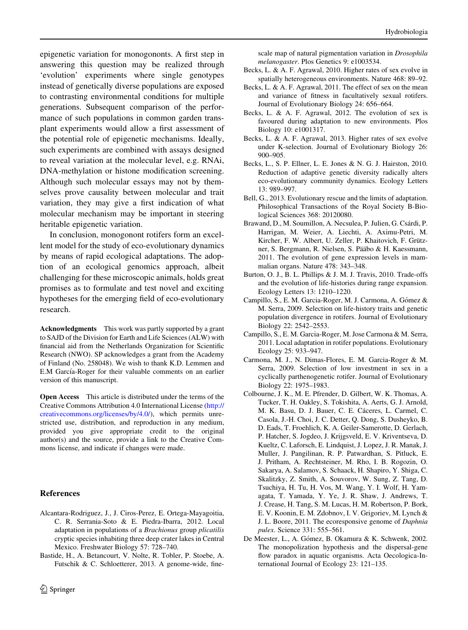<span id="page-11-0"></span>epigenetic variation for monogononts. A first step in answering this question may be realized through 'evolution' experiments where single genotypes instead of genetically diverse populations are exposed to contrasting environmental conditions for multiple generations. Subsequent comparison of the performance of such populations in common garden transplant experiments would allow a first assessment of the potential role of epigenetic mechanisms. Ideally, such experiments are combined with assays designed to reveal variation at the molecular level, e.g. RNAi, DNA-methylation or histone modification screening. Although such molecular essays may not by themselves prove causality between molecular and trait variation, they may give a first indication of what molecular mechanism may be important in steering heritable epigenetic variation.

In conclusion, monogonont rotifers form an excellent model for the study of eco-evolutionary dynamics by means of rapid ecological adaptations. The adoption of an ecological genomics approach, albeit challenging for these microscopic animals, holds great promises as to formulate and test novel and exciting hypotheses for the emerging field of eco-evolutionary research.

Acknowledgments This work was partly supported by a grant to SAJD of the Division for Earth and Life Sciences (ALW) with financial aid from the Netherlands Organization for Scientific Research (NWO). SP acknowledges a grant from the Academy of Finland (No. 258048). We wish to thank K.D. Lemmen and E.M García-Roger for their valuable comments on an earlier version of this manuscript.

Open Access This article is distributed under the terms of the Creative Commons Attribution 4.0 International License ([http://](http://creativecommons.org/licenses/by/4.0/) [creativecommons.org/licenses/by/4.0/\)](http://creativecommons.org/licenses/by/4.0/), which permits unrestricted use, distribution, and reproduction in any medium, provided you give appropriate credit to the original author(s) and the source, provide a link to the Creative Commons license, and indicate if changes were made.

## **References**

- Alcantara-Rodriguez, J., J. Ciros-Perez, E. Ortega-Mayagoitia, C. R. Serrania-Soto & E. Piedra-Ibarra, 2012. Local adaptation in populations of a Brachionus group plicatilis cryptic species inhabiting three deep crater lakes in Central Mexico. Freshwater Biology 57: 728–740.
- Bastide, H., A. Betancourt, V. Nolte, R. Tobler, P. Stoebe, A. Futschik & C. Schloetterer, 2013. A genome-wide, fine-

scale map of natural pigmentation variation in Drosophila melanogaster. Plos Genetics 9: e1003534.

- Becks, L. & A. F. Agrawal, 2010. Higher rates of sex evolve in spatially heterogeneous environments. Nature 468: 89–92.
- Becks, L. & A. F. Agrawal, 2011. The effect of sex on the mean and variance of fitness in facultatively sexual rotifers. Journal of Evolutionary Biology 24: 656–664.
- Becks, L. & A. F. Agrawal, 2012. The evolution of sex is favoured during adaptation to new environments. Plos Biology 10: e1001317.
- Becks, L. & A. F. Agrawal, 2013. Higher rates of sex evolve under K-selection. Journal of Evolutionary Biology 26: 900–905.
- Becks, L., S. P. Ellner, L. E. Jones & N. G. J. Hairston, 2010. Reduction of adaptive genetic diversity radically alters eco-evolutionary community dynamics. Ecology Letters 13: 989–997.
- Bell, G., 2013. Evolutionary rescue and the limits of adaptation. Philosophical Transactions of the Royal Society B-Biological Sciences 368: 20120080.
- Brawand, D., M. Soumillon, A. Necsulea, P. Julien, G. Csárdi, P. Harrigan, M. Weier, A. Liechti, A. Aximu-Petri, M. Kircher, F. W. Albert, U. Zeller, P. Khaitovich, F. Grützner, S. Bergmann, R. Nielsen, S. Pääbo & H. Kaessmann, 2011. The evolution of gene expression levels in mammalian organs. Nature 478: 343–348.
- Burton, O. J., B. L. Phillips & J. M. J. Travis, 2010. Trade-offs and the evolution of life-histories during range expansion. Ecology Letters 13: 1210–1220.
- Campillo, S., E. M. Garcia-Roger, M. J. Carmona, A. Gómez & M. Serra, 2009. Selection on life-history traits and genetic population divergence in rotifers. Journal of Evolutionary Biology 22: 2542–2553.
- Campillo, S., E. M. Garcia-Roger, M. Jose Carmona & M. Serra, 2011. Local adaptation in rotifer populations. Evolutionary Ecology 25: 933–947.
- Carmona, M. J., N. Dimas-Flores, E. M. Garcia-Roger & M. Serra, 2009. Selection of low investment in sex in a cyclically parthenogenetic rotifer. Journal of Evolutionary Biology 22: 1975–1983.
- Colbourne, J. K., M. E. Pfrender, D. Gilbert, W. K. Thomas, A. Tucker, T. H. Oakley, S. Tokishita, A. Aerts, G. J. Arnold, M. K. Basu, D. J. Bauer, C. E. Cáceres, L. Carmel, C. Casola, J.-H. Choi, J. C. Detter, Q. Dong, S. Dusheyko, B. D. Eads, T. Froehlich, K. A. Geiler-Samerotte, D. Gerlach, P. Hatcher, S. Jogdeo, J. Krijgsveld, E. V. Kriventseva, D. Kueltz, C. Laforsch, E. Lindquist, J. Lopez, J. R. Manak, J. Muller, J. Pangilinan, R. P. Patwardhan, S. Pitluck, E. J. Pritham, A. Rechtsteiner, M. Rho, I. B. Rogozin, O. Sakarya, A. Salamov, S. Schaack, H. Shapiro, Y. Shiga, C. Skalitzky, Z. Smith, A. Souvorov, W. Sung, Z. Tang, D. Tsuchiya, H. Tu, H. Vos, M. Wang, Y. I. Wolf, H. Yamagata, T. Yamada, Y. Ye, J. R. Shaw, J. Andrews, T. J. Crease, H. Tang, S. M. Lucas, H. M. Robertson, P. Bork, E. V. Koonin, E. M. Zdobnov, I. V. Grigoriev, M. Lynch & J. L. Boore, 2011. The ecoresponsive genome of Daphnia pulex. Science 331: 555–561.
- De Meester, L., A. Gómez, B. Okamura & K. Schwenk, 2002. The monopolization hypothesis and the dispersal-gene flow paradox in aquatic organisms. Acta Oecologica-International Journal of Ecology 23: 121–135.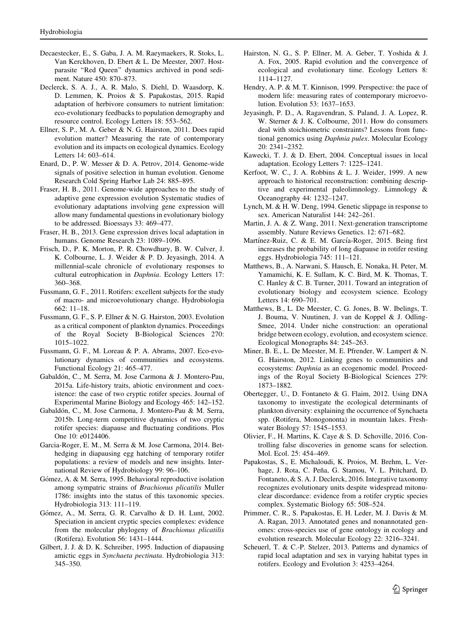- <span id="page-12-0"></span>Decaestecker, E., S. Gaba, J. A. M. Raeymaekers, R. Stoks, L. Van Kerckhoven, D. Ebert & L. De Meester, 2007. Hostparasite ''Red Queen'' dynamics archived in pond sediment. Nature 450: 870–873.
- Declerck, S. A. J., A. R. Malo, S. Diehl, D. Waasdorp, K. D. Lemmen, K. Proios & S. Papakostas, 2015. Rapid adaptation of herbivore consumers to nutrient limitation: eco-evolutionary feedbacks to population demography and resource control. Ecology Letters 18: 553–562.
- Ellner, S. P., M. A. Geber & N. G. Hairston, 2011. Does rapid evolution matter? Measuring the rate of contemporary evolution and its impacts on ecological dynamics. Ecology Letters 14: 603–614.
- Enard, D., P. W. Messer & D. A. Petrov, 2014. Genome-wide signals of positive selection in human evolution. Genome Research Cold Spring Harbor Lab 24: 885–895.
- Fraser, H. B., 2011. Genome-wide approaches to the study of adaptive gene expression evolution Systematic studies of evolutionary adaptations involving gene expression will allow many fundamental questions in evolutionary biology to be addressed. Bioessays 33: 469–477.
- Fraser, H. B., 2013. Gene expression drives local adaptation in humans. Genome Research 23: 1089–1096.
- Frisch, D., P. K. Morton, P. R. Chowdhury, B. W. Culver, J. K. Colbourne, L. J. Weider & P. D. Jeyasingh, 2014. A millennial-scale chronicle of evolutionary responses to cultural eutrophication in Daphnia. Ecology Letters 17: 360–368.
- Fussmann, G. F., 2011. Rotifers: excellent subjects for the study of macro- and microevolutionary change. Hydrobiologia 662: 11–18.
- Fussmann, G. F., S. P. Ellner & N. G. Hairston, 2003. Evolution as a critical component of plankton dynamics. Proceedings of the Royal Society B-Biological Sciences 270: 1015–1022.
- Fussmann, G. F., M. Loreau & P. A. Abrams, 2007. Eco-evolutionary dynamics of communities and ecosystems. Functional Ecology 21: 465–477.
- Gabaldón, C., M. Serra, M. Jose Carmona & J. Montero-Pau, 2015a. Life-history traits, abiotic environment and coexistence: the case of two cryptic rotifer species. Journal of Experimental Marine Biology and Ecology 465: 142–152.
- Gabaldón, C., M. Jose Carmona, J. Montero-Pau & M. Serra, 2015b. Long-term competitive dynamics of two cryptic rotifer species: diapause and fluctuating conditions. Plos One 10: e0124406.
- Garcia-Roger, E. M., M. Serra & M. Jose Carmona, 2014. Bethedging in diapausing egg hatching of temporary rotifer populations: a review of models and new insights. International Review of Hydrobiology 99: 96–106.
- Gómez, A. & M. Serra, 1995. Behavioral reproductive isolation among sympatric strains of Brachionus plicatilis Muller 1786: insights into the status of this taxonomic species. Hydrobiologia 313: 111–119.
- Gómez, A., M. Serra, G. R. Carvalho & D. H. Lunt, 2002. Speciation in ancient cryptic species complexes: evidence from the molecular phylogeny of Brachionus plicatilis (Rotifera). Evolution 56: 1431–1444.
- Gilbert, J. J. & D. K. Schreiber, 1995. Induction of diapausing amictic eggs in Synchaeta pectinata. Hydrobiologia 313: 345–350.
- Hairston, N. G., S. P. Ellner, M. A. Geber, T. Yoshida & J. A. Fox, 2005. Rapid evolution and the convergence of ecological and evolutionary time. Ecology Letters 8: 1114–1127.
- Hendry, A. P. & M. T. Kinnison, 1999. Perspective: the pace of modern life: measuring rates of contemporary microevolution. Evolution 53: 1637–1653.
- Jeyasingh, P. D., A. Ragavendran, S. Paland, J. A. Lopez, R. W. Sterner & J. K. Colbourne, 2011. How do consumers deal with stoichiometric constraints? Lessons from functional genomics using Daphnia pulex. Molecular Ecology 20: 2341–2352.
- Kawecki, T. J. & D. Ebert, 2004. Conceptual issues in local adaptation. Ecology Letters 7: 1225–1241.
- Kerfoot, W. C., J. A. Robbins & L. J. Weider, 1999. A new approach to historical reconstruction: combining descriptive and experimental paleolimnology. Limnology & Oceanography 44: 1232–1247.
- Lynch, M. & H. W. Deng, 1994. Genetic slippage in response to sex. American Naturalist 144: 242–261.
- Martin, J. A. & Z. Wang, 2011. Next-generation transcriptome assembly. Nature Reviews Genetics. 12: 671–682.
- Martínez-Ruiz, C. & E. M. García-Roger, 2015. Being first increases the probability of long diapause in rotifer resting eggs. Hydrobiologia 745: 111–121.
- Matthews, B., A. Narwani, S. Hausch, E. Nonaka, H. Peter, M. Yamamichi, K. E. Sullam, K. C. Bird, M. K. Thomas, T. C. Hanley & C. B. Turner, 2011. Toward an integration of evolutionary biology and ecosystem science. Ecology Letters 14: 690–701.
- Matthews, B., L. De Meester, C. G. Jones, B. W. Ibelings, T. J. Bouma, V. Nuutinen, J. van de Koppel & J. Odling-Smee, 2014. Under niche construction: an operational bridge between ecology, evolution, and ecosystem science. Ecological Monographs 84: 245–263.
- Miner, B. E., L. De Meester, M. E. Pfrender, W. Lampert & N. G. Hairston, 2012. Linking genes to communities and ecosystems: Daphnia as an ecogenomic model. Proceedings of the Royal Society B-Biological Sciences 279: 1873–1882.
- Obertegger, U., D. Fontaneto & G. Flaim, 2012. Using DNA taxonomy to investigate the ecological determinants of plankton diversity: explaining the occurrence of Synchaeta spp. (Rotifera, Monogononta) in mountain lakes. Freshwater Biology 57: 1545–1553.
- Olivier, F., H. Martins, K. Caye & S. D. Schoville, 2016. Controlling false discoveries in genome scans for selection. Mol. Ecol. 25: 454–469.
- Papakostas, S., E. Michaloudi, K. Proios, M. Brehm, L. Verhage, J. Rota, C. Peña, G. Stamou, V. L. Pritchard, D. Fontaneto, & S. A. J. Declerck, 2016. Integrative taxonomy recognizes evolutionary units despite widespread mitonuclear discordance: evidence from a rotifer cryptic species complex. Systematic Biology 65: 508–524.
- Primmer, C. R., S. Papakostas, E. H. Leder, M. J. Davis & M. A. Ragan, 2013. Annotated genes and nonannotated genomes: cross-species use of gene ontology in ecology and evolution research. Molecular Ecology 22: 3216–3241.
- Scheuerl, T. & C.-P. Stelzer, 2013. Patterns and dynamics of rapid local adaptation and sex in varying habitat types in rotifers. Ecology and Evolution 3: 4253–4264.